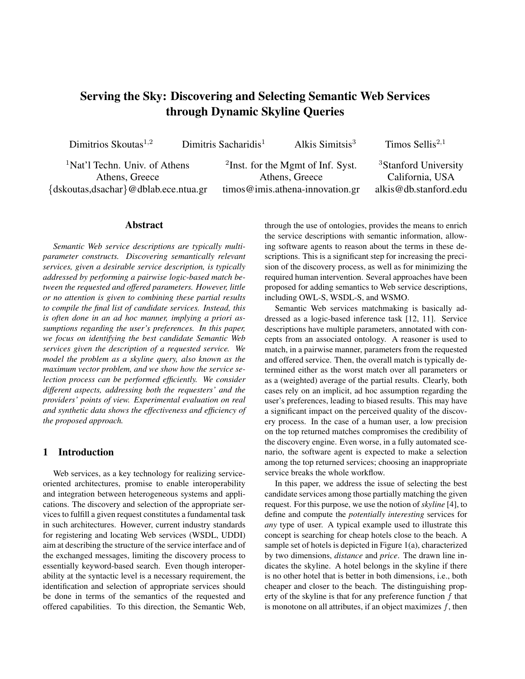# Serving the Sky: Discovering and Selecting Semantic Web Services through Dynamic Skyline Queries

| Dimitrios Skoutas $^{1,2}$                                                                          | Dimitris Sacharidis <sup>1</sup> | Alkis Simitsis $3$                                                                                    | Timos Sellis $^{2,1}$                                                        |
|-----------------------------------------------------------------------------------------------------|----------------------------------|-------------------------------------------------------------------------------------------------------|------------------------------------------------------------------------------|
| <sup>1</sup> Nat'l Techn. Univ. of Athens<br>Athens, Greece<br>{dskoutas,dsachar}@dblab.ece.ntua.gr |                                  | <sup>2</sup> Inst. for the Mgmt of Inf. Syst.<br>Athens, Greece<br>$timos@imis.$ athena-innovation.gr | <sup>3</sup> Stanford University<br>California, USA<br>alkis@db.stanford.edu |
|                                                                                                     |                                  |                                                                                                       |                                                                              |

# Abstract

*Semantic Web service descriptions are typically multiparameter constructs. Discovering semantically relevant services, given a desirable service description, is typically addressed by performing a pairwise logic-based match between the requested and offered parameters. However, little or no attention is given to combining these partial results to compile the final list of candidate services. Instead, this is often done in an ad hoc manner, implying a priori assumptions regarding the user's preferences. In this paper, we focus on identifying the best candidate Semantic Web services given the description of a requested service. We model the problem as a skyline query, also known as the maximum vector problem, and we show how the service selection process can be performed efficiently. We consider different aspects, addressing both the requesters' and the providers' points of view. Experimental evaluation on real and synthetic data shows the effectiveness and efficiency of the proposed approach.*

# 1 Introduction

Web services, as a key technology for realizing serviceoriented architectures, promise to enable interoperability and integration between heterogeneous systems and applications. The discovery and selection of the appropriate services to fulfill a given request constitutes a fundamental task in such architectures. However, current industry standards for registering and locating Web services (WSDL, UDDI) aim at describing the structure of the service interface and of the exchanged messages, limiting the discovery process to essentially keyword-based search. Even though interoperability at the syntactic level is a necessary requirement, the identification and selection of appropriate services should be done in terms of the semantics of the requested and offered capabilities. To this direction, the Semantic Web, through the use of ontologies, provides the means to enrich the service descriptions with semantic information, allowing software agents to reason about the terms in these descriptions. This is a significant step for increasing the precision of the discovery process, as well as for minimizing the required human intervention. Several approaches have been proposed for adding semantics to Web service descriptions, including OWL-S, WSDL-S, and WSMO.

Semantic Web services matchmaking is basically addressed as a logic-based inference task [12, 11]. Service descriptions have multiple parameters, annotated with concepts from an associated ontology. A reasoner is used to match, in a pairwise manner, parameters from the requested and offered service. Then, the overall match is typically determined either as the worst match over all parameters or as a (weighted) average of the partial results. Clearly, both cases rely on an implicit, ad hoc assumption regarding the user's preferences, leading to biased results. This may have a significant impact on the perceived quality of the discovery process. In the case of a human user, a low precision on the top returned matches compromises the credibility of the discovery engine. Even worse, in a fully automated scenario, the software agent is expected to make a selection among the top returned services; choosing an inappropriate service breaks the whole workflow.

In this paper, we address the issue of selecting the best candidate services among those partially matching the given request. For this purpose, we use the notion of *skyline* [4], to define and compute the *potentially interesting* services for *any* type of user. A typical example used to illustrate this concept is searching for cheap hotels close to the beach. A sample set of hotels is depicted in Figure 1(a), characterized by two dimensions, *distance* and *price*. The drawn line indicates the skyline. A hotel belongs in the skyline if there is no other hotel that is better in both dimensions, i.e., both cheaper and closer to the beach. The distinguishing property of the skyline is that for any preference function  $f$  that is monotone on all attributes, if an object maximizes  $f$ , then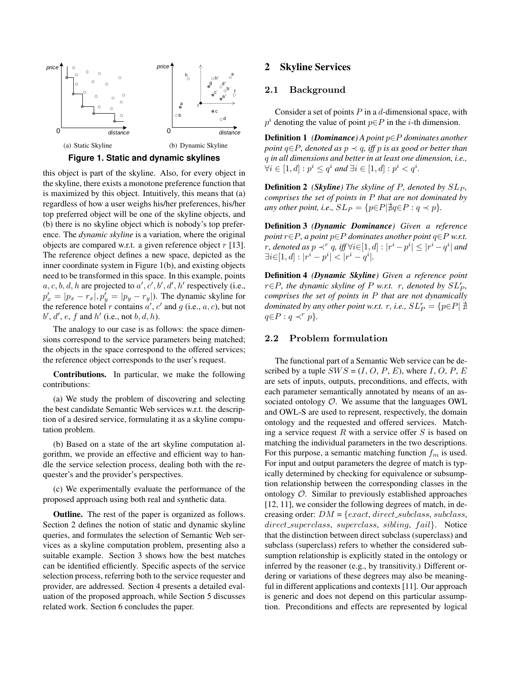



this object is part of the skyline. Also, for every object in the skyline, there exists a monotone preference function that is maximized by this object. Intuitively, this means that (a) regardless of how a user weighs his/her preferences, his/her top preferred object will be one of the skyline objects, and (b) there is no skyline object which is nobody's top preference. The *dynamic skyline* is a variation, where the original objects are compared w.r.t. a given reference object  $r$  [13]. The reference object defines a new space, depicted as the inner coordinate system in Figure 1(b), and existing objects need to be transformed in this space. In this example, points  $a, c, b, d, h$  are projected to  $a', c', b', d', h'$  respectively (i.e.,  $p'_x = |p_x - r_x|, p'_y = |p_y - r_y|$ ). The dynamic skyline for the reference hotel r contains  $a'$ ,  $c'$  and  $g$  (i.e.,  $a$ ,  $c$ ), but not  $b', d', e, f$  and  $h'$  (i.e., not  $b, d, h$ ).

The analogy to our case is as follows: the space dimensions correspond to the service parameters being matched; the objects in the space correspond to the offered services; the reference object corresponds to the user's request.

Contributions. In particular, we make the following contributions:

(a) We study the problem of discovering and selecting the best candidate Semantic Web services w.r.t. the description of a desired service, formulating it as a skyline computation problem.

(b) Based on a state of the art skyline computation algorithm, we provide an effective and efficient way to handle the service selection process, dealing both with the requester's and the provider's perspectives.

(c) We experimentally evaluate the performance of the proposed approach using both real and synthetic data.

Outline. The rest of the paper is organized as follows. Section 2 defines the notion of static and dynamic skyline queries, and formulates the selection of Semantic Web services as a skyline computation problem, presenting also a suitable example. Section 3 shows how the best matches can be identified efficiently. Specific aspects of the service selection process, referring both to the service requester and provider, are addressed. Section 4 presents a detailed evaluation of the proposed approach, while Section 5 discusses related work. Section 6 concludes the paper.

## 2 Skyline Services

# 2.1 Background

Consider a set of points  $P$  in a  $d$ -dimensional space, with  $p<sup>i</sup>$  denoting the value of point  $p \in P$  in the *i*-th dimension.

Definition 1 *(Dominance) A point* p∈P *dominates another point* q∈P*, denoted as* p ≺ q*, iff* p *is as good or better than* q *in all dimensions and better in at least one dimension, i.e.,*  $\forall i \in [1, d] : p^i \leq q^i \text{ and } \exists i \in [1, d] : p^i < q^i.$ 

**Definition 2** *(Skyline)* The skyline of P, denoted by  $SL_P$ , *comprises the set of points in* P *that are not dominated by any other point, i.e.,*  $SL_P = \{p \in P | \nexists q \in P : q \prec p\}.$ 

Definition 3 *(Dynamic Dominance) Given a reference point* r∈P*, a point* p∈P *dominates another point* q∈P *w.r.t.* r, denoted as  $p \prec^r q$ , iff  $\forall i \in [1,d]: |r^i - p^i| \leq |r^i - q^i|$  and  $\exists i \in [1, d] : |r^i - p^i| < |r^i - q^i|.$ 

Definition 4 *(Dynamic Skyline) Given a reference point*  $r \in P$ *, the dynamic skyline of*  $P$  *w.r.t.*  $r$ *, denoted by*  $SL_P^r$ *, comprises the set of points in* P *that are not dynamically dominated by any other point w.r.t. r, i.e.,*  $SL_P^r = \{p \in P | \overrightarrow{A} \}$  $q \in P : q \prec^r p$ .

# 2.2 Problem formulation

The functional part of a Semantic Web service can be described by a tuple  $SWS = (I, O, P, E)$ , where I, O, P, E are sets of inputs, outputs, preconditions, and effects, with each parameter semantically annotated by means of an associated ontology  $\mathcal{O}$ . We assume that the languages OWL and OWL-S are used to represent, respectively, the domain ontology and the requested and offered services. Matching a service request  $R$  with a service offer  $S$  is based on matching the individual parameters in the two descriptions. For this purpose, a semantic matching function  $f_m$  is used. For input and output parameters the degree of match is typically determined by checking for equivalence or subsumption relationship between the corresponding classes in the ontology O. Similar to previously established approaches [12, 11], we consider the following degrees of match, in decreasing order:  $DM = \{exact, direct\_subclass, subclass,$ direct\_superclass, superclass, sibling, fail}. Notice that the distinction between direct subclass (superclass) and subclass (superclass) refers to whether the considered subsumption relationship is explicitly stated in the ontology or inferred by the reasoner (e.g., by transitivity.) Different ordering or variations of these degrees may also be meaningful in different applications and contexts [11]. Our approach is generic and does not depend on this particular assumption. Preconditions and effects are represented by logical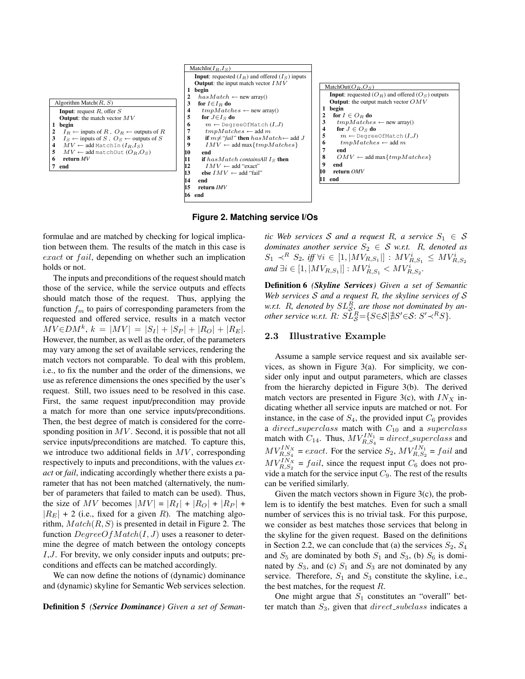



**Figure 2. Matching service I/Os**

formulae and are matched by checking for logical implication between them. The results of the match in this case is exact or fail, depending on whether such an implication holds or not.

The inputs and preconditions of the request should match those of the service, while the service outputs and effects should match those of the request. Thus, applying the function  $f_m$  to pairs of corresponding parameters from the requested and offered service, results in a match vector  $MV \in DM^k$ ,  $k = |MV| = |S_I| + |S_P| + |R_O| + |R_E|$ . However, the number, as well as the order, of the parameters may vary among the set of available services, rendering the match vectors not comparable. To deal with this problem, i.e., to fix the number and the order of the dimensions, we use as reference dimensions the ones specified by the user's request. Still, two issues need to be resolved in this case. First, the same request input/precondition may provide a match for more than one service inputs/preconditions. Then, the best degree of match is considered for the corresponding position in  $MV$ . Second, it is possible that not all service inputs/preconditions are matched. To capture this, we introduce two additional fields in  $MV$ , corresponding respectively to inputs and preconditions, with the values *exact* or *fail*, indicating accordingly whether there exists a parameter that has not been matched (alternatively, the number of parameters that failed to match can be used). Thus, the size of MV becomes  $|MV| = |R_I| + |R_O| + |R_P| +$  $|R<sub>E</sub>|$  + 2 (i.e., fixed for a given R). The matching algorithm,  $Match(R, S)$  is presented in detail in Figure 2. The function  $DegreeOfMatch(I, J)$  uses a reasoner to determine the degree of match between the ontology concepts I,J. For brevity, we only consider inputs and outputs; preconditions and effects can be matched accordingly.

We can now define the notions of (dynamic) dominance and (dynamic) skyline for Semantic Web services selection.

Definition 5 *(Service Dominance) Given a set of Seman-*

*tic Web services* S and a request R, a service  $S_1 \in S$ *dominates another service*  $S_2 \in S$  *w.r.t.* R, denoted as  $S_1 \prec^R S_2$ , iff  $\forall i \in [1, |MV_{R,S_1}|] : MV_{R,S_1}^i \leq MV_{R,S_2}^i$ *and* ∃*i* ∈ [1, | $MV_{R,S_1}$ |] :  $MV_{R,S_1}^i < MV_{R,S_2}^i$ .

Definition 6 *(Skyline Services) Given a set of Semantic Web services* S *and a request* R*, the skyline services of* S w.r.t. R, denoted by  $SL_{\mathcal{S}}^R$  are those not dominated by an*other service w.r.t.*  $R: \widetilde{SL}_{\mathcal{S}}^R = \{S \in \mathcal{S} | \nexists S' \in \mathcal{S}: S' \prec^R S\}.$ 

## 2.3 Illustrative Example

Assume a sample service request and six available services, as shown in Figure 3(a). For simplicity, we consider only input and output parameters, which are classes from the hierarchy depicted in Figure 3(b). The derived match vectors are presented in Figure 3(c), with  $IN<sub>X</sub>$  indicating whether all service inputs are matched or not. For instance, in the case of  $S_4$ , the provided input  $C_6$  provides a direct\_superclass match with  $C_{10}$  and a superclass match with  $C_{14}$ . Thus,  $MV_{R,S_4}^{IN_1} = direct\_superclass$  and  $MV_{R,S_4}^{IN_X} = exact$ . For the service  $S_2$ ,  $MV_{R,S_2}^{IN_1} = fail$  and  $MV_{R,S_2}^{IN_X} = fail$ , since the request input  $C_6$  does not provide a match for the service input  $C_9$ . The rest of the results can be verified similarly.

Given the match vectors shown in Figure 3(c), the problem is to identify the best matches. Even for such a small number of services this is no trivial task. For this purpose, we consider as best matches those services that belong in the skyline for the given request. Based on the definitions in Section 2.2, we can conclude that (a) the services  $S_2$ ,  $S_4$ and  $S_5$  are dominated by both  $S_1$  and  $S_3$ , (b)  $S_6$  is dominated by  $S_3$ , and (c)  $S_1$  and  $S_3$  are not dominated by any service. Therefore,  $S_1$  and  $S_3$  constitute the skyline, i.e., the best matches, for the request  $R$ .

One might argue that  $S_1$  constitutes an "overall" better match than  $S_3$ , given that  $direct\_subclass$  indicates a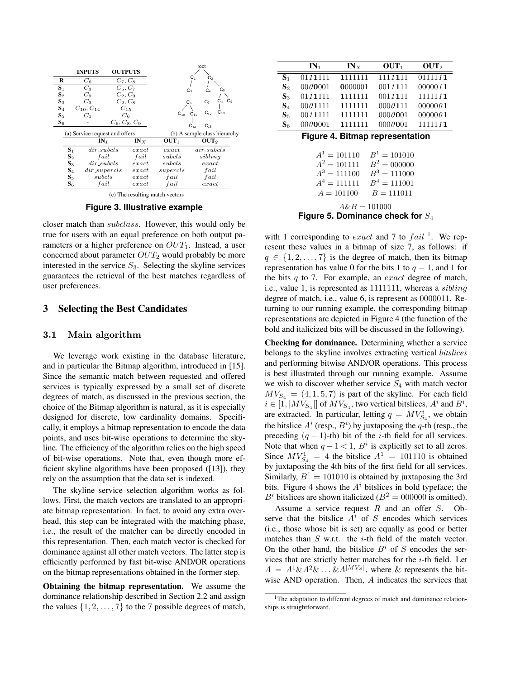

(c) The resulting match vectors

**Figure 3. Illustrative example**

closer match than subclass. However, this would only be true for users with an equal preference on both output parameters or a higher preference on  $OUT_1$ . Instead, a user concerned about parameter  $OUT_2$  would probably be more interested in the service  $S_3$ . Selecting the skyline services guarantees the retrieval of the best matches regardless of user preferences.

# 3 Selecting the Best Candidates

#### 3.1 Main algorithm

We leverage work existing in the database literature, and in particular the Bitmap algorithm, introduced in [15]. Since the semantic match between requested and offered services is typically expressed by a small set of discrete degrees of match, as discussed in the previous section, the choice of the Bitmap algorithm is natural, as it is especially designed for discrete, low cardinality domains. Specifically, it employs a bitmap representation to encode the data points, and uses bit-wise operations to determine the skyline. The efficiency of the algorithm relies on the high speed of bit-wise operations. Note that, even though more efficient skyline algorithms have been proposed ([13]), they rely on the assumption that the data set is indexed.

The skyline service selection algorithm works as follows. First, the match vectors are translated to an appropriate bitmap representation. In fact, to avoid any extra overhead, this step can be integrated with the matching phase, i.e., the result of the matcher can be directly encoded in this representation. Then, each match vector is checked for dominance against all other match vectors. The latter step is efficiently performed by fast bit-wise AND/OR operations on the bitmap representations obtained in the former step.

Obtaining the bitmap representation. We assume the dominance relationship described in Section 2.2 and assign the values  $\{1, 2, \ldots, 7\}$  to the 7 possible degrees of match,

|                                                                                                                                                                                        | $IN_1$  | INX     | OUT <sub>1</sub> | OUT <sub>2</sub> |  |
|----------------------------------------------------------------------------------------------------------------------------------------------------------------------------------------|---------|---------|------------------|------------------|--|
| $S_1$                                                                                                                                                                                  | 0111111 | 1111111 | 1111111          | 0111111          |  |
| $S_2$                                                                                                                                                                                  | 0000001 | 0000001 | 0011111          | 0000011          |  |
| $S_3$                                                                                                                                                                                  | 0111111 | 1111111 | 0011111          | 1111111          |  |
| $S_4$                                                                                                                                                                                  | 0001111 | 1111111 | 0000111          | 00000001         |  |
| $S_{5}$                                                                                                                                                                                | 0011111 | 1111111 | 0000001          | 00000001         |  |
| $S_6$                                                                                                                                                                                  | 0000001 | 1111111 | 0000001          | 1111111          |  |
| <b>Figure 4. Bitmap representation</b><br>$A^1 = 101110$<br>$B^1 = 101010$<br>$A^2 = 101111$<br>$B^2 = 000000$<br>$A^3 = 111100$<br>$B^3 = 111000$<br>$B^4 = 111001$<br>$A^4 = 111111$ |         |         |                  |                  |  |
| $B = 111011$<br>$A = 101100$<br>$A\&B=101000$<br>Figure 5. Dominance check for $S_4$                                                                                                   |         |         |                  |                  |  |

with 1 corresponding to *exact* and 7 to  $fail$ <sup>1</sup>. We represent these values in a bitmap of size 7, as follows: if  $q \in \{1, 2, \ldots, 7\}$  is the degree of match, then its bitmap representation has value 0 for the bits 1 to  $q - 1$ , and 1 for the bits  $q$  to 7. For example, an *exact* degree of match, i.e., value 1, is represented as 1111111, whereas a *sibling* degree of match, i.e., value 6, is represent as 0000011. Returning to our running example, the corresponding bitmap representations are depicted in Figure 4 (the function of the bold and italicized bits will be discussed in the following).

Checking for dominance. Determining whether a service belongs to the skyline involves extracting vertical *bitslices* and performing bitwise AND/OR operations. This process is best illustrated through our running example. Assume we wish to discover whether service  $S_4$  with match vector  $MV_{S_4} = (4, 1, 5, 7)$  is part of the skyline. For each field  $i \in [1, |MV_{S_4}|]$  of  $MV_{S_4}$ , two vertical bitslices,  $A^i$  and  $B^i$ , are extracted. In particular, letting  $q = MV^i_{S_4}$ , we obtain the bitslice  $A^i$  (resp.,  $B^i$ ) by juxtaposing the q-th (resp., the preceding  $(q - 1)$ -th) bit of the *i*-th field for all services. Note that when  $q - 1 < 1$ ,  $B<sup>i</sup>$  is explicitly set to all zeros. Since  $MV_{S_4}^1 = 4$  the bitslice  $A^1 = 101110$  is obtained by juxtaposing the 4th bits of the first field for all services. Similarly,  $B^1 = 101010$  is obtained by juxtaposing the 3rd bits. Figure 4 shows the  $A<sup>i</sup>$  bitslices in bold typeface; the  $B<sup>i</sup>$  bitslices are shown italicized ( $B<sup>2</sup> = 000000$  is omitted).

Assume a service request  $R$  and an offer  $S$ . Observe that the bitslice  $A^i$  of S encodes which services (i.e., those whose bit is set) are equally as good or better matches than  $S$  w.r.t. the *i*-th field of the match vector. On the other hand, the bitslice  $B^i$  of S encodes the services that are strictly better matches for the i-th field. Let  $A = A^{1} \& A^{2} \& \dots \& A^{|MV_S|}$ , where  $\&$  represents the bitwise AND operation. Then, A indicates the services that

<sup>&</sup>lt;sup>1</sup>The adaptation to different degrees of match and dominance relationships is straightforward.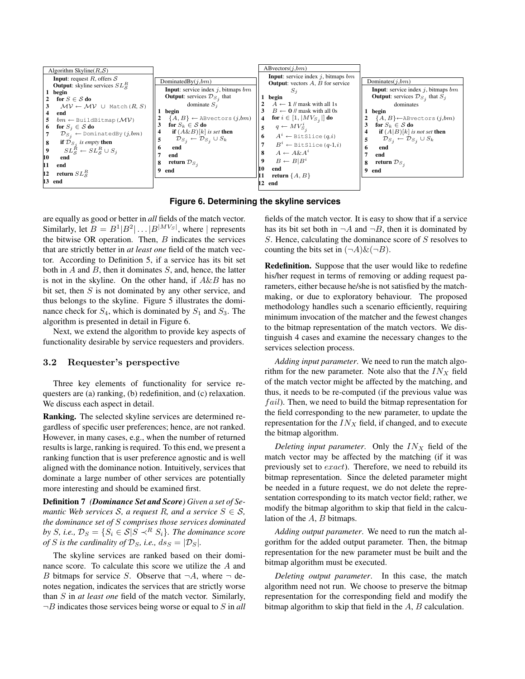| Algorithm Skyline $(R,\mathcal{S})$                                                                           |                                                                                                    | ABvectors(j, bm)                                                                             |                                                                                                           |
|---------------------------------------------------------------------------------------------------------------|----------------------------------------------------------------------------------------------------|----------------------------------------------------------------------------------------------|-----------------------------------------------------------------------------------------------------------|
| <b>Input:</b> request R, offers $S$<br><b>Output:</b> skyline services $SL^R_{\mathcal{S}}$                   | DominatedBy $(j, bm)$                                                                              | <b>Input</b> : service index j, bitmaps $bm$<br><b>Output:</b> vectors $A$ , $B$ for service | Dominates $(j, bm)$                                                                                       |
| 1 begin                                                                                                       | <b>Input:</b> service index $j$ , bitmaps $bm$<br><b>Output:</b> services $\mathcal{D}_{S_i}$ that | 5.<br>begin                                                                                  | <b>Input</b> : service index $j$ , bitmaps $bm$<br><b>Output:</b> services $\mathcal{D}_{S_i}$ that $S_j$ |
| for $S \in \mathcal{S}$ do<br>$MV \leftarrow MV \cup$ Match $(R, S)$                                          | dominate $S_i$                                                                                     | $A \leftarrow 1$ // mask with all 1s                                                         | dominates                                                                                                 |
| end<br>$bm \leftarrow$ BuildBitmap ( $\mathcal{MV}$ )                                                         | begin<br>$\{A, B\} \leftarrow$ ABvectors $(j, bm)$                                                 | $B \leftarrow 0$ // mask with all 0s<br><b>for</b> $i \in [1,  MV_{S_j} ]$ <b>do</b>         | begin<br>${A, B}$ $\leftarrow$ ABvectors $(j, bm)$                                                        |
| for $S_i \in \mathcal{S}$ do<br>6                                                                             | for $S_k \in \mathcal{S}$ do<br><b>if</b> $(A \& B)[k]$ is set then                                | $q \leftarrow MV_{S,i}^i$                                                                    | for $S_k \in \mathcal{S}$ do<br><b>if</b> $(A B)[k]$ is not set <b>then</b>                               |
| $\mathcal{D}_{S_i} \leftarrow$ DominatedBy $(j, bm)$<br><b>if</b> $\mathcal{D}_S$ , is empty <b>then</b><br>8 | $\mathcal{D}_{S_i} \leftarrow \mathcal{D}_{S_i} \cup S_k$                                          | $A^i \leftarrow$ Bit Slice $(q, i)$<br>$B^i \leftarrow$ BitSlice (q-1,i)                     | $\mathcal{D}_{S_i} \leftarrow \mathcal{D}_{S_i} \cup S_k$                                                 |
| $SL_S^R \leftarrow SL_S^R \cup S_i$                                                                           | end<br>end                                                                                         | $A \leftarrow A \& A^i$                                                                      | end<br>6<br>end                                                                                           |
| 10<br>end<br>11<br>end                                                                                        | return $\mathcal{D}_{S_i}$                                                                         | $B \leftarrow B B^i$                                                                         | return $\mathcal{D}_{S_A}$<br>8                                                                           |
| return $SL^R_{S}$<br>12                                                                                       | end                                                                                                | end<br>10<br>return $\{A, B\}$                                                               | 9<br>end                                                                                                  |
| 13 end                                                                                                        |                                                                                                    | 12<br>end                                                                                    |                                                                                                           |

**Figure 6. Determining the skyline services**

are equally as good or better in *all* fields of the match vector. Similarly, let  $B = B^1 | B^2 | \dots | B^{|M V_S|}$ , where | represents the bitwise OR operation. Then,  $B$  indicates the services that are strictly better in *at least one* field of the match vector. According to Definition 5, if a service has its bit set both in  $A$  and  $B$ , then it dominates  $S$ , and, hence, the latter is not in the skyline. On the other hand, if  $A\&B$  has no bit set, then  $S$  is not dominated by any other service, and thus belongs to the skyline. Figure 5 illustrates the dominance check for  $S_4$ , which is dominated by  $S_1$  and  $S_3$ . The algorithm is presented in detail in Figure 6.

Next, we extend the algorithm to provide key aspects of functionality desirable by service requesters and providers.

## 3.2 Requester's perspective

Three key elements of functionality for service requesters are (a) ranking, (b) redefinition, and (c) relaxation. We discuss each aspect in detail.

Ranking. The selected skyline services are determined regardless of specific user preferences; hence, are not ranked. However, in many cases, e.g., when the number of returned results is large, ranking is required. To this end, we present a ranking function that is user preference agnostic and is well aligned with the dominance notion. Intuitively, services that dominate a large number of other services are potentially more interesting and should be examined first.

Definition 7 *(Dominance Set and Score) Given a set of Semantic Web services* S, a request R, and a service  $S \in S$ , *the dominance set of* S *comprises those services dominated by S*, *i.e.*,  $\mathcal{D}_S = \{S_i \in S | S \prec^R S_i\}$ . The dominance score *of S is the cardinality of*  $\mathcal{D}_S$ *, i.e.,*  $ds_S = |\mathcal{D}_S|$ *.* 

The skyline services are ranked based on their dominance score. To calculate this score we utilize the A and B bitmaps for service S. Observe that  $\neg A$ , where  $\neg$  denotes negation, indicates the services that are strictly worse than S in *at least one* field of the match vector. Similarly,  $\neg B$  indicates those services being worse or equal to S in *all*  fields of the match vector. It is easy to show that if a service has its bit set both in  $\neg A$  and  $\neg B$ , then it is dominated by S. Hence, calculating the dominance score of S resolves to counting the bits set in  $(\neg A) \& (\neg B)$ .

Redefinition. Suppose that the user would like to redefine his/her request in terms of removing or adding request parameters, either because he/she is not satisfied by the matchmaking, or due to exploratory behaviour. The proposed methodology handles such a scenario efficiently, requiring minimum invocation of the matcher and the fewest changes to the bitmap representation of the match vectors. We distinguish 4 cases and examine the necessary changes to the services selection process.

*Adding input parameter*. We need to run the match algorithm for the new parameter. Note also that the  $IN_X$  field of the match vector might be affected by the matching, and thus, it needs to be re-computed (if the previous value was  $fail$ ). Then, we need to build the bitmap representation for the field corresponding to the new parameter, to update the representation for the  $IN_X$  field, if changed, and to execute the bitmap algorithm.

*Deleting input parameter.* Only the  $IN_X$  field of the match vector may be affected by the matching (if it was previously set to exact). Therefore, we need to rebuild its bitmap representation. Since the deleted parameter might be needed in a future request, we do not delete the representation corresponding to its match vector field; rather, we modify the bitmap algorithm to skip that field in the calculation of the A, B bitmaps.

*Adding output parameter*. We need to run the match algorithm for the added output parameter. Then, the bitmap representation for the new parameter must be built and the bitmap algorithm must be executed.

*Deleting output parameter*. In this case, the match algorithm need not run. We choose to preserve the bitmap representation for the corresponding field and modify the bitmap algorithm to skip that field in the A, B calculation.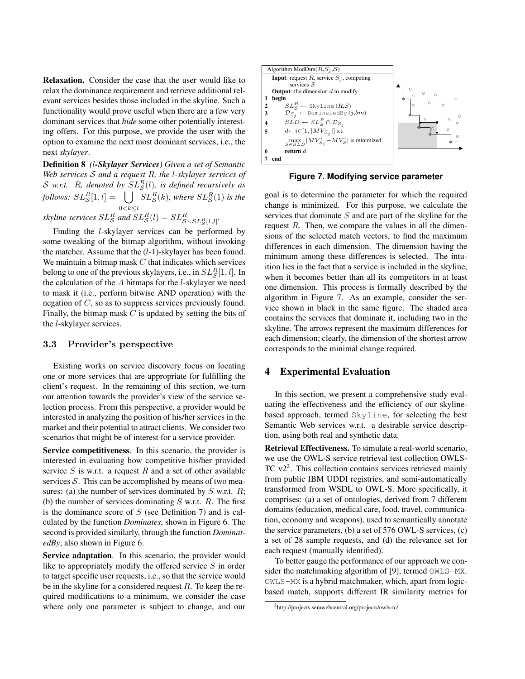Relaxation. Consider the case that the user would like to relax the dominance requirement and retrieve additional relevant services besides those included in the skyline. Such a functionality would prove useful when there are a few very dominant services that *hide* some other potentially interesting offers. For this purpose, we provide the user with the option to examine the next most dominant services, i.e., the next *skylayer*.

Definition 8 *(*l*-Skylayer Services) Given a set of Semantic Web services* S *and a request* R*, the* l*-skylayer services of* S w.r.t. R, denoted by  $SL_{\mathcal{S}}^{R}(l)$ , is defined recursively as  $S$  w.r.t. T<sub>1</sub>, denoted by  $SL_S$ <br>follows:  $SL_S^R[1, l] = \bigcup S$  $0 < k \leq l$  $SL_{\mathcal{S}}^{R}(k)$ , where  $SL_{\mathcal{S}}^{R}(1)$  is the skyline services  $SL_{\mathcal{S}}^R$  and  $SL_{\mathcal{S}}^R(l) = SL_{\mathcal{S}\setminus SL_{\mathcal{S}}^R[1,l]}.$ 

Finding the l-skylayer services can be performed by some tweaking of the bitmap algorithm, without invoking the matcher. Assume that the  $(l-1)$ -skylayer has been found. We maintain a bitmap mask  $C$  that indicates which services belong to one of the previous skylayers, i.e., in  $SL^R_{\mathcal{S}}[1,l].$  In the calculation of the  $A$  bitmaps for the  $l$ -skylayer we need to mask it (i.e., perform bitwise AND operation) with the negation of C, so as to suppress services previously found. Finally, the bitmap mask  $C$  is updated by setting the bits of the l-skylayer services.

#### 3.3 Provider's perspective

Existing works on service discovery focus on locating one or more services that are appropriate for fulfilling the client's request. In the remaining of this section, we turn our attention towards the provider's view of the service selection process. From this perspective, a provider would be interested in analyzing the position of his/her services in the market and their potential to attract clients. We consider two scenarios that might be of interest for a service provider.

Service competitiveness. In this scenario, the provider is interested in evaluating how competitive his/her provided service  $S$  is w.r.t. a request  $R$  and a set of other available services  $S$ . This can be accomplished by means of two measures: (a) the number of services dominated by  $S$  w.r.t.  $R$ ; (b) the number of services dominating  $S$  w.r.t.  $R$ . The first is the dominance score of  $S$  (see Definition 7) and is calculated by the function *Dominates*, shown in Figure 6. The second is provided similarly, through the function *DominatedBy*, also shown in Figure 6.

Service adaptation. In this scenario, the provider would like to appropriately modify the offered service  $S$  in order to target specific user requests, i.e., so that the service would be in the skyline for a considered request  $R$ . To keep the required modifications to a minimum, we consider the case where only one parameter is subject to change, and our



**Figure 7. Modifying service parameter**

goal is to determine the parameter for which the required change is minimized. For this purpose, we calculate the services that dominate  $S$  and are part of the skyline for the request  $R$ . Then, we compare the values in all the dimensions of the selected match vectors, to find the maximum differences in each dimension. The dimension having the minimum among these differences is selected. The intuition lies in the fact that a service is included in the skyline, when it becomes better than all its competitors in at least one dimension. This process is formally described by the algorithm in Figure 7. As an example, consider the service shown in black in the same figure. The shaded area contains the services that dominate it, including two in the skyline. The arrows represent the maximum differences for each dimension; clearly, the dimension of the shortest arrow corresponds to the minimal change required.

## 4 Experimental Evaluation

In this section, we present a comprehensive study evaluating the effectiveness and the efficiency of our skylinebased approach, termed Skyline, for selecting the best Semantic Web services w.r.t. a desirable service description, using both real and synthetic data.

Retrieval Effectiveness. To simulate a real-world scenario, we use the OWL-S service retrieval test collection OWLS-TC v2<sup>2</sup>. This collection contains services retrieved mainly from public IBM UDDI registries, and semi-automatically transformed from WSDL to OWL-S. More specifically, it comprises: (a) a set of ontologies, derived from 7 different domains (education, medical care, food, travel, communication, economy and weapons), used to semantically annotate the service parameters, (b) a set of 576 OWL-S services, (c) a set of 28 sample requests, and (d) the relevance set for each request (manually identified).

To better gauge the performance of our approach we consider the matchmaking algorithm of [9], termed OWLS-MX. OWLS-MX is a hybrid matchmaker, which, apart from logicbased match, supports different IR similarity metrics for

<sup>2</sup> http://projects.semwebcentral.org/projects/owls-tc/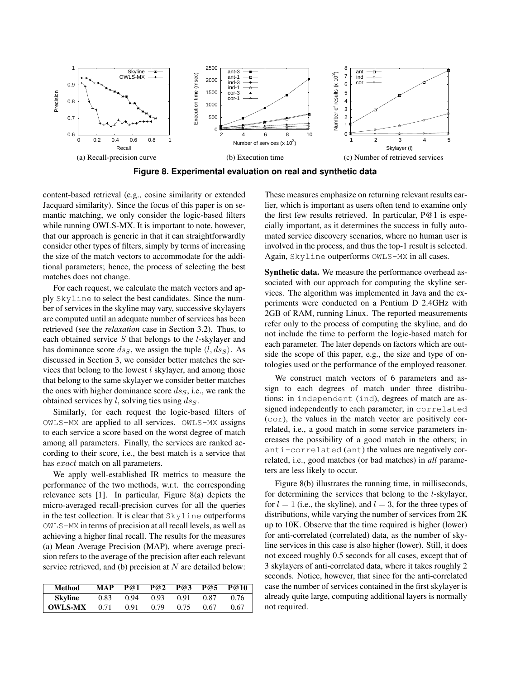

**Figure 8. Experimental evaluation on real and synthetic data**

content-based retrieval (e.g., cosine similarity or extended Jacquard similarity). Since the focus of this paper is on semantic matching, we only consider the logic-based filters while running OWLS-MX. It is important to note, however, that our approach is generic in that it can straightforwardly consider other types of filters, simply by terms of increasing the size of the match vectors to accommodate for the additional parameters; hence, the process of selecting the best matches does not change.

For each request, we calculate the match vectors and apply Skyline to select the best candidates. Since the number of services in the skyline may vary, successive skylayers are computed until an adequate number of services has been retrieved (see the *relaxation* case in Section 3.2). Thus, to each obtained service  $S$  that belongs to the *l*-skylayer and has dominance score  $ds_S$ , we assign the tuple  $\langle l, ds_S \rangle$ . As discussed in Section 3, we consider better matches the services that belong to the lowest  $l$  skylayer, and among those that belong to the same skylayer we consider better matches the ones with higher dominance score  $ds<sub>S</sub>$ , i.e., we rank the obtained services by  $l$ , solving ties using  $ds_S$ .

Similarly, for each request the logic-based filters of OWLS-MX are applied to all services. OWLS-MX assigns to each service a score based on the worst degree of match among all parameters. Finally, the services are ranked according to their score, i.e., the best match is a service that has *exact* match on all parameters.

We apply well-established IR metrics to measure the performance of the two methods, w.r.t. the corresponding relevance sets [1]. In particular, Figure 8(a) depicts the micro-averaged recall-precision curves for all the queries in the test collection. It is clear that Skyline outperforms OWLS-MX in terms of precision at all recall levels, as well as achieving a higher final recall. The results for the measures (a) Mean Average Precision (MAP), where average precision refers to the average of the precision after each relevant service retrieved, and (b) precision at  $N$  are detailed below:

| Method         | <b>MAP</b> | P@1  | P@2  | P@3  | P@5  | P@10 |
|----------------|------------|------|------|------|------|------|
| Skvline        | 0.83       | 0.94 | 0.93 | 0.91 | 0.87 | 0.76 |
| <b>OWLS-MX</b> | 0.71       | 0.91 | 0.79 | 0.75 | 0.67 | 0.67 |

These measures emphasize on returning relevant results earlier, which is important as users often tend to examine only the first few results retrieved. In particular, P@1 is especially important, as it determines the success in fully automated service discovery scenarios, where no human user is involved in the process, and thus the top-1 result is selected. Again, Skyline outperforms OWLS-MX in all cases.

Synthetic data. We measure the performance overhead associated with our approach for computing the skyline services. The algorithm was implemented in Java and the experiments were conducted on a Pentium D 2.4GHz with 2GB of RAM, running Linux. The reported measurements refer only to the process of computing the skyline, and do not include the time to perform the logic-based match for each parameter. The later depends on factors which are outside the scope of this paper, e.g., the size and type of ontologies used or the performance of the employed reasoner.

We construct match vectors of 6 parameters and assign to each degrees of match under three distributions: in independent (ind), degrees of match are assigned independently to each parameter; in correlated (cor), the values in the match vector are positively correlated, i.e., a good match in some service parameters increases the possibility of a good match in the others; in anti-correlated (ant) the values are negatively correlated, i.e., good matches (or bad matches) in *all* parameters are less likely to occur.

Figure 8(b) illustrates the running time, in milliseconds, for determining the services that belong to the l-skylayer, for  $l = 1$  (i.e., the skyline), and  $l = 3$ , for the three types of distributions, while varying the number of services from 2K up to 10K. Observe that the time required is higher (lower) for anti-correlated (correlated) data, as the number of skyline services in this case is also higher (lower). Still, it does not exceed roughly 0.5 seconds for all cases, except that of 3 skylayers of anti-correlated data, where it takes roughly 2 seconds. Notice, however, that since for the anti-correlated case the number of services contained in the first skylayer is already quite large, computing additional layers is normally not required.